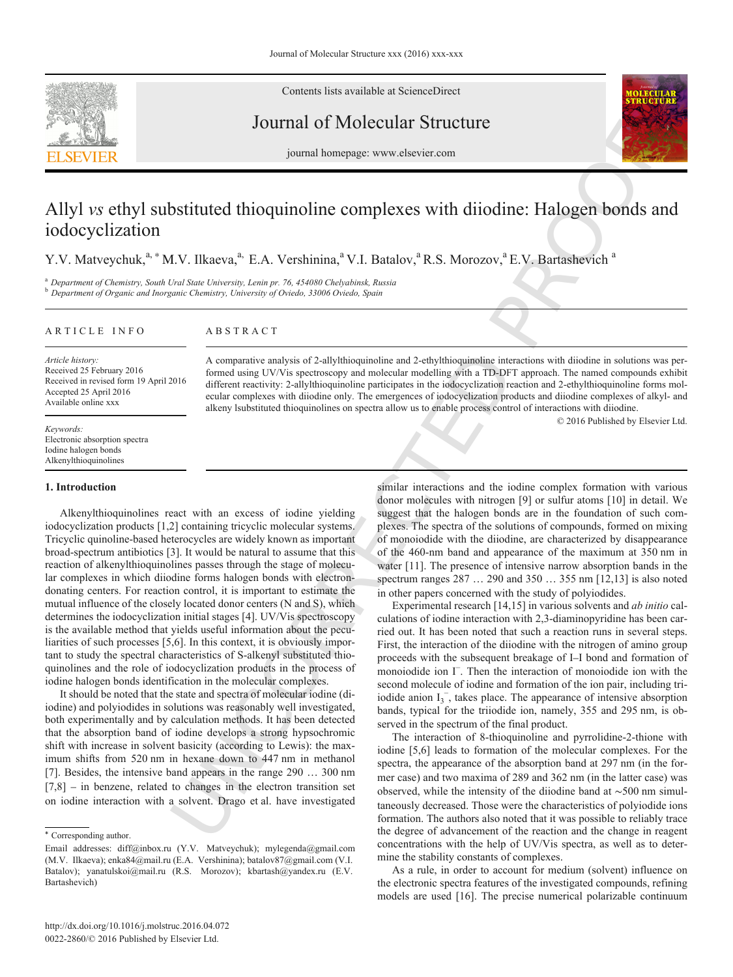

Contents lists available at ScienceDirect

Journal of Molecular Structure



journal homepage: www.elsevier.com

# Journal of Molecular Structure<br>
journal homepage: www.elsevier.com<br>
Ethyl substituted thioquinoline complexes with diiodine: Halogen bonds and<br>
ization<br>
vchuk,<sup>a,\*</sup> M.V. Ilkaeva,<sup>a,</sup> E.A. Vershinina,<sup>a</sup> V.I. Batalov,<sup>a</sup> R. Allyl *vs* ethyl substituted thioquinoline complexes with diiodine: Halogen bonds and iodocyclization

Y.V. Matveychuk,<sup>[a,](#page-0-0) [∗](#page-0-1)</sup> M.V. Ilk[a](#page-0-0)eva,<sup>a,</sup> E.A. Vershinina,<sup>a</sup> V.I. Batalov,<sup>a</sup> R.S. Morozov,<sup>a</sup> E.V. Bartashevich <sup>a</sup>

<span id="page-0-0"></span><sup>a</sup> *Department of Chemistry, South Ural State University, Lenin pr. 76, 454080 Chelyabinsk, Russia* b *Department of Organic and Inorganic Chemistry, University of Oviedo, 33006 Oviedo, Spain* 

|  |  |  |  | ARTICLE INFO |  |  |
|--|--|--|--|--------------|--|--|
|  |  |  |  |              |  |  |

## ABSTRACT

*Article history:* Received 25 February 2016 Received in revised form 19 April 2016 Accepted 25 April 2016 Available online xxx

*Keywords:* Electronic absorption spectra Iodine halogen bonds Alkenylthioquinolines

## **1. Introduction**

A comparative analysis of 2-allylthioquinoline and 2-ethythioquinoline interaction<br>
formed using UV/Vis spectroscopy and molecular modelling with a TD-DFT approximate<br>
different reactivity: 2-allythioquinoline participate Alkenylthioquinolines react with an excess of iodine yielding iodocyclization products [1,2] containing tricyclic molecular systems. Tricyclic quinoline-based heterocycles are widely known as important broad-spectrum antibiotics [\[3\].](#page-8-0) It would be natural to assume that this reaction of alkenylthioquinolines passes through the stage of molecular complexes in which diiodine forms halogen bonds with electrondonating centers. For reaction control, it is important to estimate the mutual influence of the closely located donor centers (N and S), which determines the iodocyclization initial stages [4]. UV/Vis spectroscopy is the available method that yields useful information about the peculiarities of such processes [5,6]. In this context, it is obviously important to study the spectral characteristics of S-alkenyl substituted thioquinolines and the role of iodocyclization products in the process of iodine halogen bonds identification in the molecular complexes.

It should be noted that the state and spectra of molecular iodine (diiodine) and polyiodides in solutions was reasonably well investigated, both experimentally and by calculation methods. It has been detected that the absorption band of iodine develops a strong hypsochromic shift with increase in solvent basicity (according to Lewis): the maximum shifts from 520 nm in hexane down to 447 nm in methanol [\[7\]](#page-8-2). Besides, the intensive band appears in the range 290 … 300 nm  $[7,8]$  – in benzene, related to changes in the electron transition set on iodine interaction with a solvent. Drago et al. have investigated

A comparative analysis of 2-allylthioquinoline and 2-ethylthioquinoline interactions with diiodine in solutions was performed using UV/Vis spectroscopy and molecular modelling with a TD-DFT approach. The named compounds exhibit different reactivity: 2-allylthioquinoline participates in the iodocyclization reaction and 2-ethylthioquinoline forms molecular complexes with diiodine only. The emergences of iodocyclization products and diiodine complexes of alkyl- and alkeny lsubstituted thioquinolines on spectra allow us to enable process control of interactions with diiodine.

© 2016 Published by Elsevier Ltd.

similar interactions and the iodine complex formation with various donor molecules with nitrogen [\[9\]](#page-8-3) or sulfur atoms [\[10\]](#page-8-4) in detail. We suggest that the halogen bonds are in the foundation of such complexes. The spectra of the solutions of compounds, formed on mixing of monoiodide with the diiodine, are characterized by disappearance of the 460-nm band and appearance of the maximum at 350 nm in water [11]. The presence of intensive narrow absorption bands in the spectrum ranges 287 … 290 and 350 … 355 nm [12,13] is also noted in other papers concerned with the study of polyiodides.

Experimental research [14,15] in various solvents and *ab initio* calculations of iodine interaction with 2,3-diaminopyridine has been carried out. It has been noted that such a reaction runs in several steps. First, the interaction of the diiodine with the nitrogen of amino group proceeds with the subsequent breakage of I–I bond and formation of monoiodide ion I<sup>−</sup>. Then the interaction of monoiodide ion with the second molecule of iodine and formation of the ion pair, including triiodide anion  $I_3^-$ , takes place. The appearance of intensive absorption bands, typical for the triiodide ion, namely, 355 and 295 nm, is observed in the spectrum of the final product.

The interaction of 8-thioquinoline and pyrrolidine-2-thione with iodine [5,6] leads to formation of the molecular complexes. For the spectra, the appearance of the absorption band at 297 nm (in the former case) and two maxima of 289 and 362 nm (in the latter case) was observed, while the intensity of the diiodine band at ∼500 nm simultaneously decreased. Those were the characteristics of polyiodide ions formation. The authors also noted that it was possible to reliably trace the degree of advancement of the reaction and the change in reagent concentrations with the help of UV/Vis spectra, as well as to determine the stability constants of complexes.

As a rule, in order to account for medium (solvent) influence on the electronic spectra features of the investigated compounds, refining models are used [\[16\]](#page-8-6). The precise numerical polarizable continuum

<span id="page-0-1"></span><sup>∗</sup> Corresponding author.

Email addresses: diff@inbox.ru (Y.V. Matveychuk); mylegenda@gmail.com (М.V. Ilkaeva); enka84@mail.ru (E.A. Vershinina); batalov87@gmail.com (V.I. Batalov); yanatulskoi@mail.ru (R.S. Morozov); kbartash@yandex.ru (E.V. Bartashevich)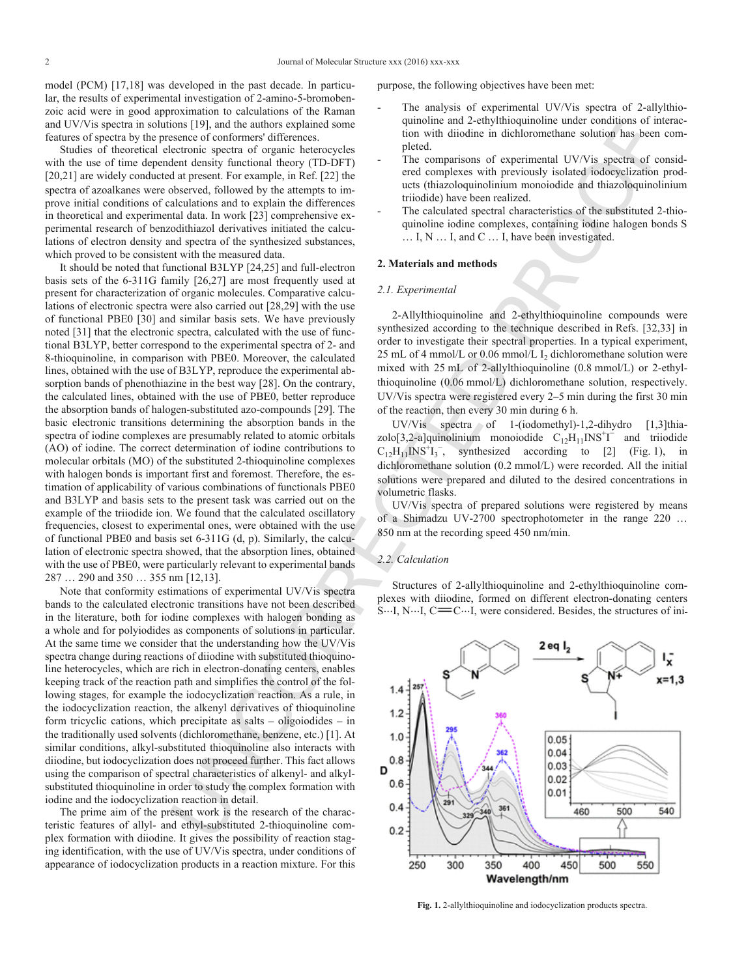model (PCM) [17,18] was developed in the past decade. In particular, the results of experimental investigation of 2-amino-5-bromobenzoic acid were in good approximation to calculations of the Raman and UV/Vis spectra in solutions [\[19\],](#page-8-7) and the authors explained some features of spectra by the presence of conformers' differences.

Studies of theoretical electronic spectra of organic heterocycles with the use of time dependent density functional theory (TD-DFT) [20,21] are widely conducted at present. For example, in Ref. [\[22\]](#page-8-8) the spectra of azoalkanes were observed, followed by the attempts to improve initial conditions of calculations and to explain the differences in theoretical and experimental data. In work [\[23\]](#page-8-9) comprehensive experimental research of benzodithiazol derivatives initiated the calculations of electron density and spectra of the synthesized substances, which proved to be consistent with the measured data.

It should be noted that functional B3LYP [24,25] and full-electron basis sets of the 6-311G family [26,27] are most frequently used at present for characterization of organic molecules. Comparative calculations of electronic spectra were also carried out [28,29] with the use of functional PBE0 [\[30\]](#page-8-10) and similar basis sets. We have previously noted [\[31\]](#page-8-11) that the electronic spectra, calculated with the use of functional B3LYP, better correspond to the experimental spectra of 2- and 8-thioquinoline, in comparison with PBE0. Moreover, the calculated lines, obtained with the use of B3LYP, reproduce the experimental absorption bands of phenothiazine in the best way [28]. On the contrary, the calculated lines, obtained with the use of PBE0, better reproduce the absorption bands of halogen-substituted azo-compounds [29]. The basic electronic transitions determining the absorption bands in the spectra of iodine complexes are presumably related to atomic orbitals (AO) of iodine. The correct determination of iodine contributions to molecular orbitals (MO) of the substituted 2-thioquinoline complexes with halogen bonds is important first and foremost. Therefore, the estimation of applicability of various combinations of functionals PBE0 and B3LYP and basis sets to the present task was carried out on the example of the triiodide ion. We found that the calculated oscillatory frequencies, closest to experimental ones, were obtained with the use of functional PBE0 and basis set 6-311G (d, p). Similarly, the calculation of electronic spectra showed, that the absorption lines, obtained with the use of PBE0, were particularly relevant to experimental bands 287 … 290 and 350 … 355 nm [12,13].

<span id="page-1-0"></span>Note that conformity estimations of experimental UV/Vis spectra bands to the calculated electronic transitions have not been described in the literature, both for iodine complexes with halogen bonding as a whole and for polyiodides as components of solutions in particular. At the same time we consider that the understanding how the UV/Vis spectra change during reactions of diiodine with substituted thioquinoline heterocycles, which are rich in electron-donating centers, enables keeping track of the reaction path and simplifies the control of the following stages, for example the iodocyclization reaction. As a rule, in the iodocyclization reaction, the alkenyl derivatives of thioquinoline form tricyclic cations, which precipitate as salts – oligoiodides – in the traditionally used solvents (dichloromethane, benzene, etc.) [1]. At similar conditions, alkyl-substituted thioquinoline also interacts with diiodine, but iodocyclization does not proceed further. This fact allows using the comparison of spectral characteristics of alkenyl- and alkylsubstituted thioquinoline in order to study the complex formation with iodine and the iodocyclization reaction in detail.

The prime aim of the present work is the research of the characteristic features of allyl- and ethyl-substituted 2-thioquinoline complex formation with diiodine. It gives the possibility of reaction staging identification, with the use of UV/Vis spectra, under conditions of appearance of iodocyclization products in a reaction mixture. For this purpose, the following objectives have been met:

- The analysis of experimental UV/Vis spectra of 2-allylthioquinoline and 2-ethylthioquinoline under conditions of interaction with diiodine in dichloromethane solution has been completed.
- The comparisons of experimental UV/Vis spectra of considered complexes with previously isolated iodocyclization products (thiazoloquinolinium monoiodide and thiazoloquinolinium triiodide) have been realized.
- The calculated spectral characteristics of the substituted 2-thioquinoline iodine complexes, containing iodine halogen bonds S … I, N … I, and C … I, have been investigated.

## **2. Materials and methods**

## *2.1. Experimental*

2-Allylthioquinoline and 2-ethylthioquinoline compounds were synthesized according to the technique described in Refs. [32,33] in order to investigate their spectral properties. In a typical experiment, 25 mL of 4 mmol/L or 0.06 mmol/L I<sub>2</sub> dichloromethane solution were mixed with 25 mL of 2-allylthioquinoline (0.8 mmol/L) or 2-ethylthioquinoline (0.06 mmol/L) dichloromethane solution, respectively. UV/Vis spectra were registered every 2–5 min during the first 30 min of the reaction, then every 30 min during 6 h.

UV/Vis spectra of 1-(iodomethyl)-1,2-dihydro [1,3]thiazolo[3,2-a]quinolinium monoiodide  $C_{12}H_{11}INS^{\dagger}I$  and triiodide  $C_{12}H_{11}INS^{+}I_{3}^{-}$  $C_{12}H_{11}INS^{+}I_{3}^{-}$  $C_{12}H_{11}INS^{+}I_{3}^{-}$ , synthesized according to [\[2\]](#page-8-15) [\(Fig.](#page-1-0) 1), in dichloromethane solution (0.2 mmol/L) were recorded. All the initial solutions were prepared and diluted to the desired concentrations in volumetric flasks.

UV/Vis spectra of prepared solutions were registered by means of a Shimadzu UV-2700 spectrophotometer in the range 220 … 850 nm at the recording speed 450 nm/min.

## *2.2. Calculation*

Structures of 2-allylthioquinoline and 2-ethylthioquinoline complexes with diiodine, formed on different electron-donating centers  $S...I, N...I, C = C...I$ , were considered. Besides, the structures of ini-



**Fig. 1.** 2-allylthioquinoline and iodocyclization products spectra.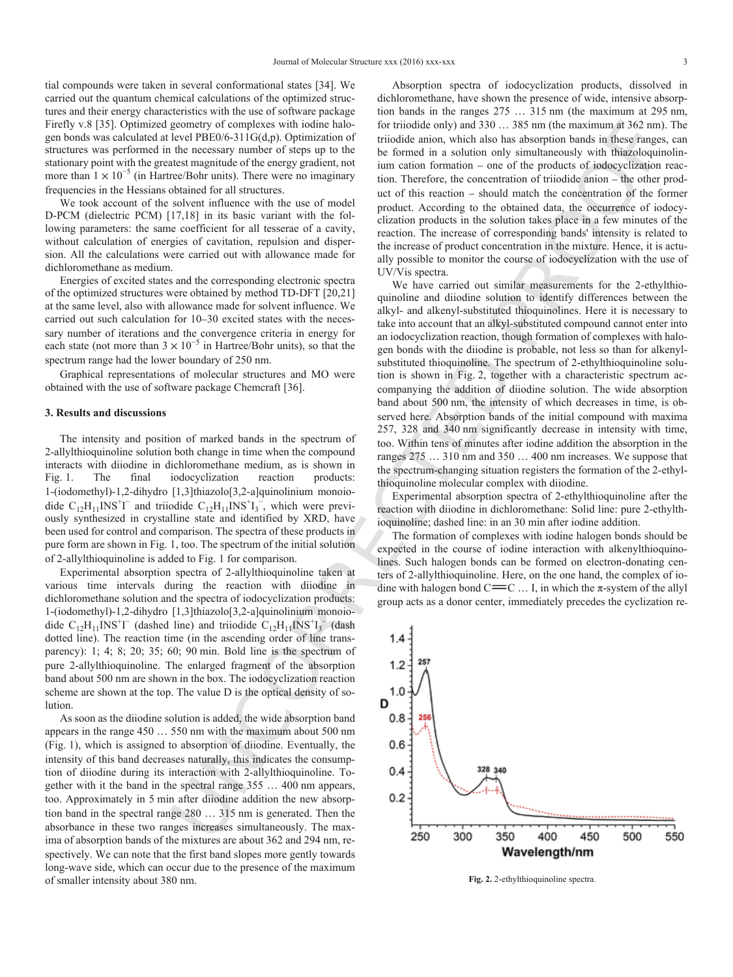tial compounds were taken in several conformational states [\[34\]](#page-8-16). We carried out the quantum chemical calculations of the optimized structures and their energy characteristics with the use of software package Firefly v.8 [\[35\].](#page-8-17) Optimized geometry of complexes with iodine halogen bonds was calculated at level PBE0/6-311G(d,p). Optimization of structures was performed in the necessary number of steps up to the stationary point with the greatest magnitude of the energy gradient, not more than  $1 \times 10^{-5}$  (in Hartree/Bohr units). There were no imaginary frequencies in the Hessians obtained for all structures.

We took account of the solvent influence with the use of model D-PCM (dielectric PCM) [17,18] in its basic variant with the following parameters: the same coefficient for all tesserae of a cavity, without calculation of energies of cavitation, repulsion and dispersion. All the calculations were carried out with allowance made for dichloromethane as medium.

Energies of excited states and the corresponding electronic spectra of the optimized structures were obtained by method TD-DFT [20,21] at the same level, also with allowance made for solvent influence. We carried out such calculation for 10–30 excited states with the necessary number of iterations and the convergence criteria in energy for each state (not more than  $3 \times 10^{-5}$  in Hartree/Bohr units), so that the spectrum range had the lower boundary of 250 nm.

Graphical representations of molecular structures and MO were obtained with the use of software package Chemcraft [36].

## **3. Results and discussions**

The intensity and position of marked bands in the spectrum of 2-allylthioquinoline solution both change in time when the compound interacts with diiodine in dichloromethane medium, as is shown in [Fig.](#page-1-0) 1. The final iodocyclization reaction products: 1-(iodomethyl)-1,2-dihydro [1,3]thiazolo[3,2-а]quinolinium monoiodide  $C_{12}H_{11}INS^{\dagger}I^{-}$  and triiodide  $C_{12}H_{11}INS^{\dagger}I_{3}^{-}$ , which were previously synthesized in crystalline state and identified by XRD, have been used for control and comparison. The spectra of these products in pure form are shown in [Fig.](#page-1-0) 1, too. The spectrum of the initial solution of 2-allylthioquinoline is added to Fig. 1 for comparison.

<span id="page-2-0"></span>Experimental absorption spectra of 2-allylthioquinoline taken at various time intervals during the reaction with diiodine in dichloromethane solution and the spectra of iodocyclization products: 1-(iodomethyl)-1,2-dihydro [1,3]thiazolo[3,2-а]quinolinium monoiodide  $C_{12}H_{11}INS^{\dagger}I^{-}$  (dashed line) and triiodide  $C_{12}H_{11}INS^{\dagger}I_{3}^{-}$  (dash dotted line). The reaction time (in the ascending order of line transparency): 1; 4; 8; 20; 35; 60; 90 min. Bold line is the spectrum of pure 2-allylthioquinoline. The enlarged fragment of the absorption band about 500 nm are shown in the box. The iodocyclization reaction scheme are shown at the top. The value D is the optical density of solution.

As soon as the diiodine solution is added, the wide absorption band appears in the range 450 … 550 nm with the maximum about 500 nm ([Fig.](#page-1-0) 1), which is assigned to absorption of diiodine. Eventually, the intensity of this band decreases naturally, this indicates the consumption of diiodine during its interaction with 2-allylthioquinoline. Together with it the band in the spectral range 355 … 400 nm appears, too. Approximately in 5 min after diiodine addition the new absorption band in the spectral range 280 … 315 nm is generated. Then the absorbance in these two ranges increases simultaneously. The maxima of absorption bands of the mixtures are about 362 and 294 nm, respectively. We can note that the first band slopes more gently towards long-wave side, which can occur due to the presence of the maximum of smaller intensity about 380 nm.

Absorption spectra of iodocyclization products, dissolved in dichloromethane, have shown the presence of wide, intensive absorption bands in the ranges 275 … 315 nm (the maximum at 295 nm, for triiodide only) and 330 … 385 nm (the maximum at 362 nm). The triiodide anion, which also has absorption bands in these ranges, can be formed in a solution only simultaneously with thiazoloquinolinium cation formation – one of the products of iodocyclization reaction. Therefore, the concentration of triiodide anion – the other product of this reaction – should match the concentration of the former product. According to the obtained data, the occurrence of iodocyclization products in the solution takes place in a few minutes of the reaction. The increase of corresponding bands' intensity is related to the increase of product concentration in the mixture. Hence, it is actually possible to monitor the course of iodocyclization with the use of UV/Vis spectra.

We have carried out similar measurements for the 2-ethylthioquinoline and diiodine solution to identify differences between the alkyl- and alkenyl-substituted thioquinolines. Here it is necessary to take into account that an alkyl-substituted compound cannot enter into an iodocyclization reaction, though formation of complexes with halogen bonds with the diiodine is probable, not less so than for alkenylsubstituted thioquinoline. The spectrum of 2-ethylthioquinoline solution is shown in Fig. 2, together with a characteristic spectrum accompanying the addition of diiodine solution. The wide absorption band about 500 nm, the intensity of which decreases in time, is observed here. Absorption bands of the initial compound with maxima 257, 328 and 340 nm significantly decrease in intensity with time, too. Within tens of minutes after iodine addition the absorption in the ranges 275 … 310 nm and 350 … 400 nm increases. We suppose that the spectrum-changing situation registers the formation of the 2-ethylthioquinoline molecular complex with diiodine.

Experimental absorption spectra of 2-ethylthioquinoline after the reaction with diiodine in dichloromethane: Solid line: pure 2-ethylthioquinoline; dashed line: in an 30 min after iodine addition.

The formation of complexes with iodine halogen bonds should be expected in the course of iodine interaction with alkenylthioquinolines. Such halogen bonds can be formed on electron-donating centers of 2-allylthioquinoline. Here, on the one hand, the complex of iodine with halogen bond  $C = C \dots I$ , in which the  $\pi$ -system of the allyl group acts as a donor center, immediately precedes the cyclization re



**Fig. 2.** 2-ethylthioquinoline spectra.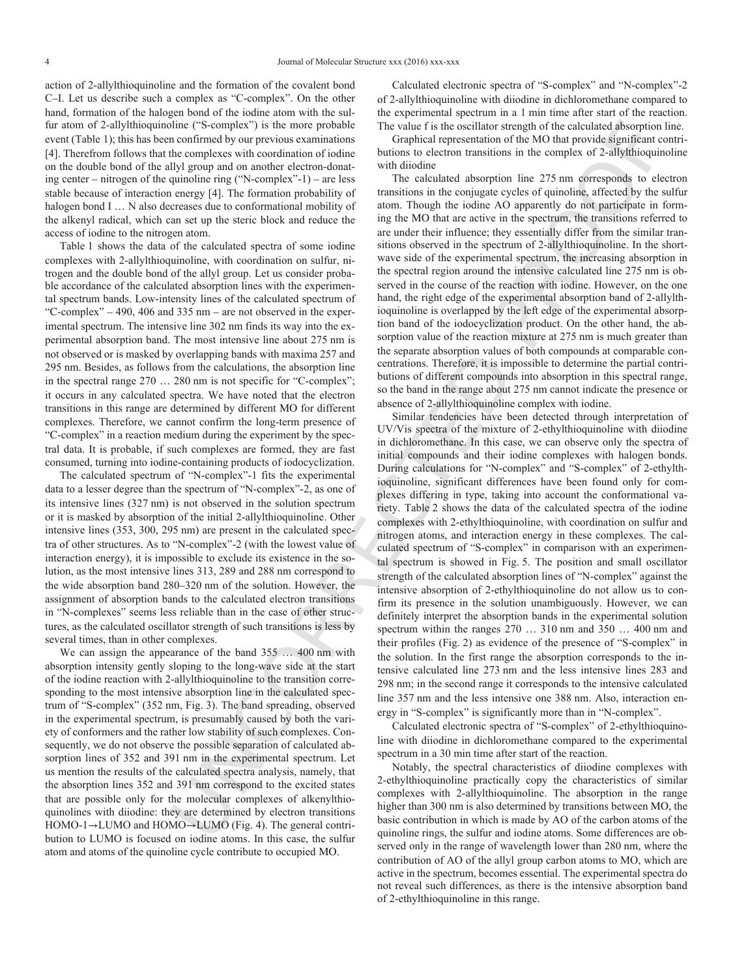action of 2-allylthioquinoline and the formation of the covalent bond C–I. Let us describe such a complex as "C-complex". On the other hand, formation of the halogen bond of the iodine atom with the sulfur atom of 2-allylthioquinoline ("S-complex") is the more probable event [\(Table](#page-4-0) [1](#page-4-0)); this has been confirmed by our previous examinations [\[4\]](#page-8-1). Therefrom follows that the complexes with coordination of iodine on the double bond of the allyl group and on another electron-donating center – nitrogen of the quinoline ring ("N-complex"-1) – are less stable because of interaction energy [\[4\].](#page-8-1) The formation probability of halogen bond I ... N also decreases due to conformational mobility of the alkenyl radical, which can set up the steric block and reduce the access of iodine to the nitrogen atom.

[Table](#page-4-0) 1 shows the data of the calculated spectra of some iodine complexes with 2-allylthioquinoline, with coordination on sulfur, nitrogen and the double bond of the allyl group. Let us consider probable accordance of the calculated absorption lines with the experimental spectrum bands. Low-intensity lines of the calculated spectrum of "С-complex" – 490, 406 and 335 nm – are not observed in the experimental spectrum. The intensive line 302 nm finds its way into the experimental absorption band. The most intensive line about 275 nm is not observed or is masked by overlapping bands with maxima 257 and 295 nm. Besides, as follows from the calculations, the absorption line in the spectral range 270 … 280 nm is not specific for "C-complex"; it occurs in any calculated spectra. We have noted that the electron transitions in this range are determined by different МО for different complexes. Therefore, we cannot confirm the long-term presence of "С-complex" in a reaction medium during the experiment by the spectral data. It is probable, if such complexes are formed, they are fast consumed, turning into iodine-containing products of iodocyclization.

The calculated spectrum of "N-complex"-1 fits the experimental data to a lesser degree than the spectrum of "N-complex"-2, as one of its intensive lines (327 nm) is not observed in the solution spectrum or it is masked by absorption of the initial 2-allylthioquinoline. Other intensive lines (353, 300, 295 nm) are present in the calculated spectra of other structures. As to "N-complex"-2 (with the lowest value of interaction energy), it is impossible to exclude its existence in the solution, as the most intensive lines 313, 289 and 288 nm correspond to the wide absorption band 280–320 nm of the solution. However, the assignment of absorption bands to the calculated electron transitions in "N-complexes" seems less reliable than in the case of other structures, as the calculated oscillator strength of such transitions is less by several times, than in other complexes.

We can assign the appearance of the band 355 … 400 nm with absorption intensity gently sloping to the long-wave side at the start of the iodine reaction with 2-allylthioquinoline to the transition corresponding to the most intensive absorption line in the calculated spectrum of "S-complex" (352 nm, Fig. 3). The band spreading, observed in the experimental spectrum, is presumably caused by both the variety of conformers and the rather low stability of such complexes. Consequently, we do not observe the possible separation of calculated absorption lines of 352 and 391 nm in the experimental spectrum. Let us mention the results of the calculated spectra analysis, namely, that the absorption lines 352 and 391 nm correspond to the excited states that are possible only for the molecular complexes of alkenylthioquinolines with diiodine: they are determined by electron transitions HOMO-1→LUMO and HOMO→LUMO (Fig. 4). The general contribution to LUMO is focused on iodine atoms. In this case, the sulfur atom and atoms of the quinoline cycle contribute to occupied МО.

Calculated electronic spectra of "S-complex" and "N-complex"-2 of 2-allylthioquinoline with diiodine in dichloromethane compared to the experimental spectrum in a 1 min time after start of the reaction. The value f is the oscillator strength of the calculated absorption line.

Graphical representation of the MO that provide significant contributions to electron transitions in the complex of 2-allylthioquinoline with diiodine

The calculated absorption line 275 nm corresponds to electron transitions in the conjugate cycles of quinoline, affected by the sulfur atom. Though the iodine AO apparently do not participate in forming the МО that are active in the spectrum, the transitions referred to are under their influence; they essentially differ from the similar transitions observed in the spectrum of 2-allylthioquinoline. In the shortwave side of the experimental spectrum, the increasing absorption in the spectral region around the intensive calculated line 275 nm is observed in the course of the reaction with iodine. However, on the one hand, the right edge of the experimental absorption band of 2-allylthioquinoline is overlapped by the left edge of the experimental absorption band of the iodocyclization product. On the other hand, the absorption value of the reaction mixture at 275 nm is much greater than the separate absorption values of both compounds at comparable concentrations. Therefore, it is impossible to determine the partial contributions of different compounds into absorption in this spectral range, so the band in the range about 275 nm cannot indicate the presence or absence of 2-allylthioquinoline complex with iodine.

line: TS-coupled 3 bis the mass periodic The value of the oscillator strength of the collected disospectrum of the contribute of the contribute of the contribute of the contribute of the contribute of the contribute of th Similar tendencies have been detected through interpretation of UV/Vis spectra of the mixture of 2-ethylthioquinoline with diiodine in dichloromethane. In this case, we can observe only the spectra of initial compounds and their iodine complexes with halogen bonds. During calculations for "N-complex" and "S-complex" of 2-ethylthioquinoline, significant differences have been found only for complexes differing in type, taking into account the conformational variety. Table 2 shows the data of the calculated spectra of the iodine complexes with 2-ethylthioquinoline, with coordination on sulfur and nitrogen atoms, and interaction energy in these complexes. The calculated spectrum of "S-complex" in comparison with an experimental spectrum is showed in [Fig.](#page-8-19) 5. The position and small oscillator strength of the calculated absorption lines of "N-complex" against the intensive absorption of 2-ethylthioquinoline do not allow us to confirm its presence in the solution unambiguously. However, we can definitely interpret the absorption bands in the experimental solution spectrum within the ranges 270 … 310 nm and 350 … 400 nm and their profiles (Fig. 2) as evidence of the presence of "S-complex" in the solution. In the first range the absorption corresponds to the intensive calculated line 273 nm and the less intensive lines 283 and 298 nm; in the second range it corresponds to the intensive calculated line 357 nm and the less intensive one 388 nm. Also, interaction energy in "S-complex" is significantly more than in "N-complex".

Calculated electronic spectra of "S-complex" of 2-ethylthioquinoline with diiodine in dichloromethane compared to the experimental spectrum in a 30 min time after start of the reaction.

Notably, the spectral characteristics of diiodine complexes with 2-ethylthioquinoline practically copy the characteristics of similar complexes with 2-allylthioquinoline. The absorption in the range higher than 300 nm is also determined by transitions between MO, the basic contribution in which is made by AO of the carbon atoms of the quinoline rings, the sulfur and iodine atoms. Some differences are observed only in the range of wavelength lower than 280 nm, where the contribution of AO of the allyl group carbon atoms to MO, which are active in the spectrum, becomes essential. The experimental spectra do not reveal such differences, as there is the intensive absorption band of 2-ethylthioquinoline in this range.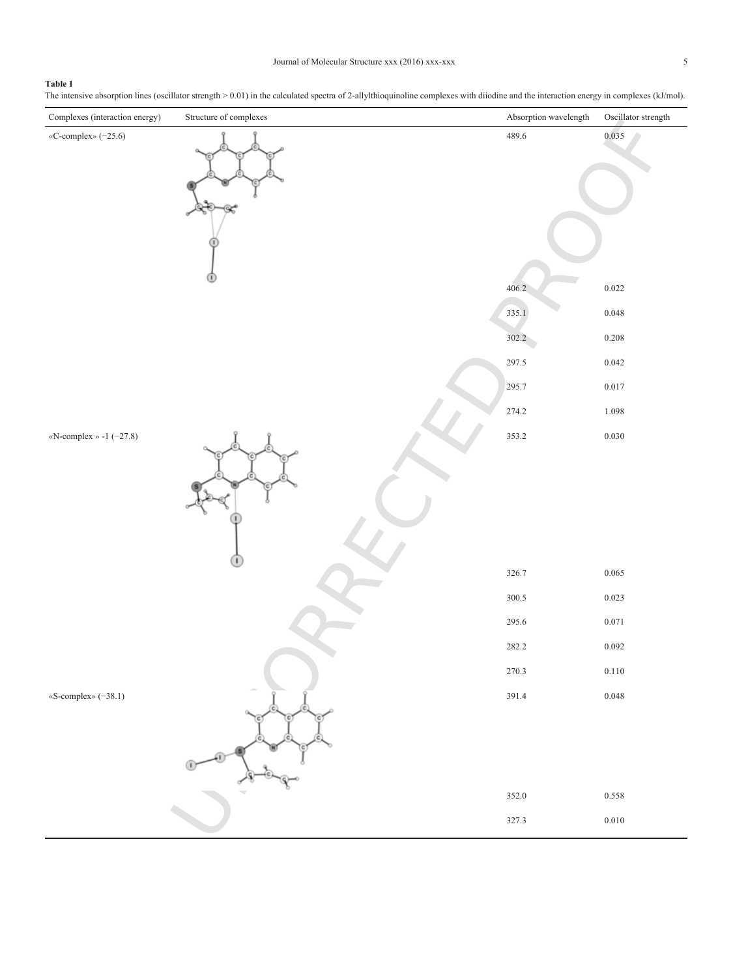# <span id="page-4-0"></span>**Table 1**

The intensive absorption lines (oscillator strength > 0.01) in the calculated spectra of 2-allylthioquinoline complexes with diiodine and the interaction energy in complexes (kJ/mol).

| Complexes (interaction energy) | Structure of complexes | Absorption wavelength | Oscillator strength |
|--------------------------------|------------------------|-----------------------|---------------------|
| «C-complex» (-25.6)            |                        | 489.6                 | 0.035               |
|                                |                        | 406.2                 | 0.022               |
|                                |                        |                       |                     |
|                                |                        | 335.1                 | 0.048               |
|                                |                        | 302.2                 | 0.208               |
|                                |                        | 297.5                 | 0.042               |
|                                |                        | 295.7                 | 0.017               |
|                                |                        | 274.2<br>353.2        | 1.098<br>0.030      |
| «N-complex » -1 (-27.8)        |                        |                       |                     |
|                                |                        | 326.7                 | 0.065               |
|                                |                        | 300.5                 | 0.023               |
|                                |                        | 295.6                 | $0.071\,$           |
|                                |                        | 282.2                 | 0.092               |
|                                |                        | 270.3                 | 0.110               |
| «S-complex» (-38.1)            |                        | 391.4<br>352.0        | 0.048<br>0.558      |
|                                |                        | 327.3                 | 0.010               |
|                                |                        |                       |                     |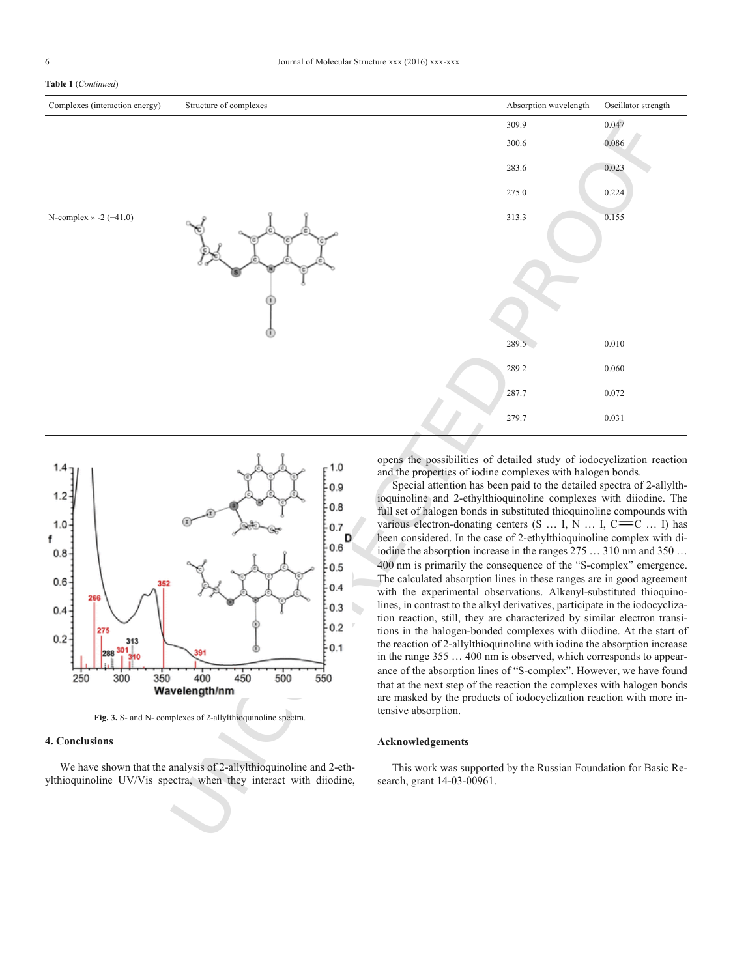### **Table 1** (*Continued*)



<span id="page-5-0"></span>

**Fig. 3.** S- and N- complexes of 2-allylthioquinoline spectra.

## **4. Conclusions**

We have shown that the analysis of 2-allylthioquinoline and 2-ethylthioquinoline UV/Vis spectra, when they interact with diiodine, opens the possibilities of detailed study of iodocyclization reaction and the properties of iodine complexes with halogen bonds.

Special attention has been paid to the detailed spectra of 2-allylthioquinoline and 2-ethylthioquinoline complexes with diiodine. The full set of halogen bonds in substituted thioquinoline compounds with various electron-donating centers  $(S \dots I, N \dots I, C = C \dots I)$  has been considered. In the case of 2-ethylthioquinoline complex with diiodine the absorption increase in the ranges 275 … 310 nm and 350 … 400 nm is primarily the consequence of the "S-complex" emergence. The calculated absorption lines in these ranges are in good agreement with the experimental observations. Alkenyl-substituted thioquinolines, in contrast to the alkyl derivatives, participate in the iodocyclization reaction, still, they are characterized by similar electron transitions in the halogen-bonded complexes with diiodine. At the start of the reaction of 2-allylthioquinoline with iodine the absorption increase in the range 355 … 400 nm is observed, which corresponds to appearance of the absorption lines of "S-complex". However, we have found that at the next step of the reaction the complexes with halogen bonds are masked by the products of iodocyclization reaction with more intensive absorption.

## **Acknowledgements**

This work was supported by the Russian Foundation for Basic Research, grant 14-03-00961.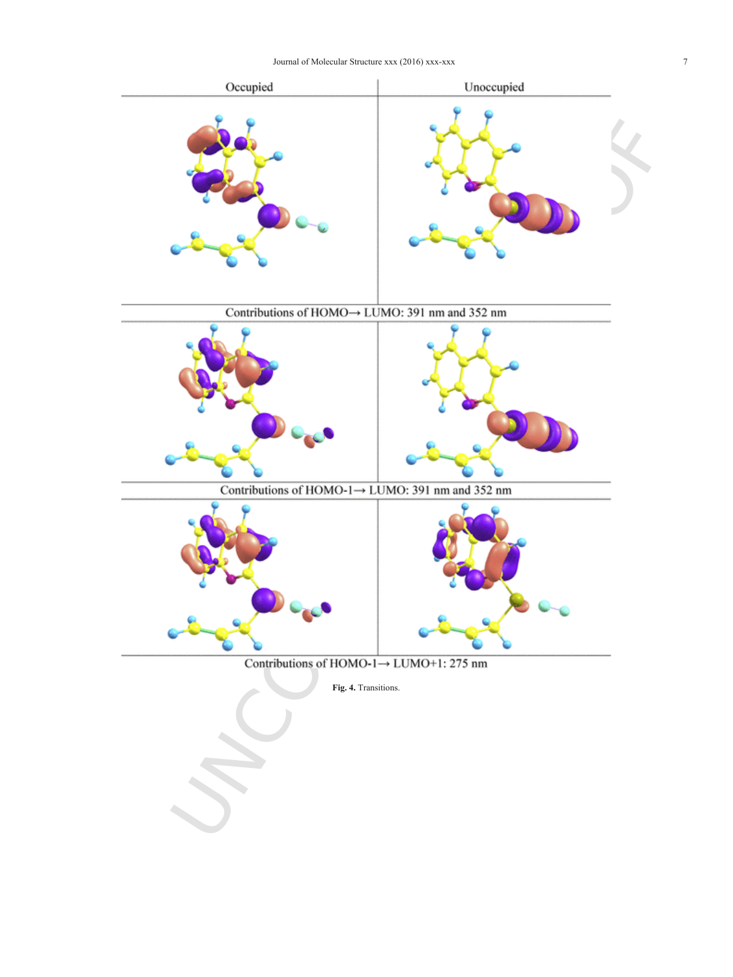<span id="page-6-0"></span>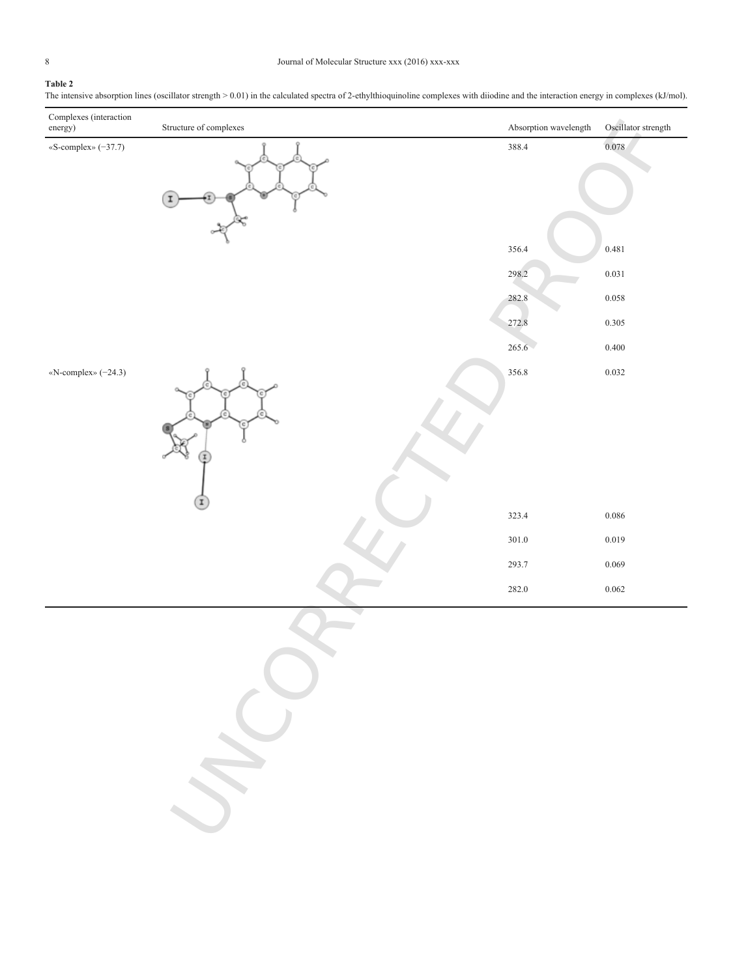## <span id="page-7-0"></span>**Table 2**

The intensive absorption lines (oscillator strength > 0.01) in the calculated spectra of 2-ethylthioquinoline complexes with diiodine and the interaction energy in complexes (kJ/mol).

| Complexes (interaction<br>energy) | Structure of complexes | Absorption wavelength | Oscillator strength |
|-----------------------------------|------------------------|-----------------------|---------------------|
| «S-complex» (-37.7)               | I                      | 388.4                 | 0.078               |
|                                   |                        | 356.4                 | 0.481               |
|                                   |                        | 298.2                 | 0.031               |
|                                   |                        | 282.8                 | 0.058               |
|                                   |                        | 272.8                 | 0.305               |
|                                   |                        | 265.6                 | 0.400               |
| «N-complex» (-24.3)               | I                      | 356.8                 | 0.032               |
|                                   |                        | 323.4                 | 0.086               |
|                                   |                        | 301.0                 | 0.019               |
|                                   |                        | 293.7                 | 0.069               |
|                                   |                        | 282.0                 | 0.062               |

UNCORRECTED PROOF